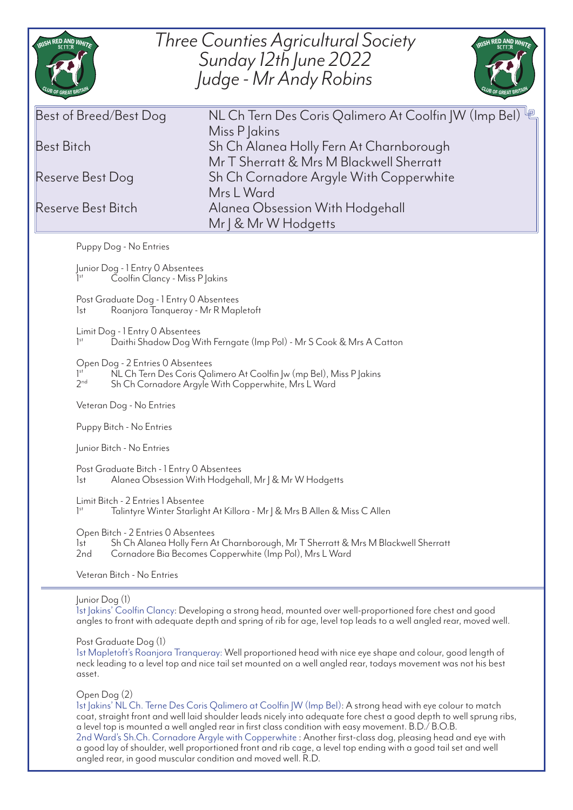| RISH RED AND WHITE                                                                                                                                                                                                                                                                                                                                                 | <b>Three Counties Agricultural Society</b><br>RISH RED AND WHITE<br>Sunday 12th June 2022<br>Judge - Mr Andy Robins                                                                                                           |
|--------------------------------------------------------------------------------------------------------------------------------------------------------------------------------------------------------------------------------------------------------------------------------------------------------------------------------------------------------------------|-------------------------------------------------------------------------------------------------------------------------------------------------------------------------------------------------------------------------------|
| Best of Breed/Best Dog<br><b>Best Bitch</b>                                                                                                                                                                                                                                                                                                                        | NL Ch Tern Des Coris Qalimero At Coolfin JW (Imp Bel) 吧<br>Miss P Jakins<br>Sh Ch Alanea Holly Fern At Charnborough<br>Mr T Sherratt & Mrs M Blackwell Sherratt                                                               |
| Reserve Best Dog                                                                                                                                                                                                                                                                                                                                                   | Sh Ch Cornadore Argyle With Copperwhite<br>Mrs L Ward                                                                                                                                                                         |
| Reserve Best Bitch                                                                                                                                                                                                                                                                                                                                                 | Alanea Obsession With Hodgehall<br>Mr   & Mr W Hodgetts                                                                                                                                                                       |
| Puppy Dog - No Entries                                                                                                                                                                                                                                                                                                                                             |                                                                                                                                                                                                                               |
| Junior Dog - 1 Entry 0 Absentees<br>Coolfin Clancy - Miss P Jakins                                                                                                                                                                                                                                                                                                 |                                                                                                                                                                                                                               |
| Post Graduate Dog - 1 Entry 0 Absentees<br>Roanjora Tanqueray - Mr R Mapletoft<br>lst                                                                                                                                                                                                                                                                              |                                                                                                                                                                                                                               |
| Limit Dog - 1 Entry 0 Absentees<br>1 <sup>st</sup><br>Daithi Shadow Dog With Ferngate (Imp Pol) - Mr S Cook & Mrs A Catton                                                                                                                                                                                                                                         |                                                                                                                                                                                                                               |
| Open Dog - 2 Entries 0 Absentees<br>$]$ <sup>st</sup><br>NL Ch Tern Des Coris Qalimero At Coolfin Jw (mp Bel), Miss P Jakins<br>2 <sub>nd</sub><br>Sh Ch Cornadore Argyle With Copperwhite, Mrs L Ward                                                                                                                                                             |                                                                                                                                                                                                                               |
| Veteran Dog - No Entries                                                                                                                                                                                                                                                                                                                                           |                                                                                                                                                                                                                               |
| Puppy Bitch - No Entries                                                                                                                                                                                                                                                                                                                                           |                                                                                                                                                                                                                               |
| Junior Bitch - No Entries                                                                                                                                                                                                                                                                                                                                          |                                                                                                                                                                                                                               |
| Post Graduate Bitch - 1 Entry 0 Absentees<br>Alanea Obsession With Hodgehall, Mr J & Mr W Hodgetts<br>lst                                                                                                                                                                                                                                                          |                                                                                                                                                                                                                               |
| Limit Bitch - 2 Entries 1 Absentee<br>1 <sup>st</sup><br>Talintyre Winter Starlight At Killora - Mr J & Mrs B Allen & Miss C Allen                                                                                                                                                                                                                                 |                                                                                                                                                                                                                               |
| Open Bitch - 2 Entries 0 Absentees<br>Sh Ch Alanea Holly Fern At Charnborough, Mr T Sherratt & Mrs M Blackwell Sherratt<br>lst<br>2 <sub>nd</sub><br>Cornadore Bia Becomes Copperwhite (Imp Pol), Mrs L Ward                                                                                                                                                       |                                                                                                                                                                                                                               |
| Veteran Bitch - No Entries                                                                                                                                                                                                                                                                                                                                         |                                                                                                                                                                                                                               |
| Junior Dog (1)                                                                                                                                                                                                                                                                                                                                                     | 1st Jakins' Coolfin Clancy: Developing a strong head, mounted over well-proportioned fore chest and good<br>angles to front with adequate depth and spring of rib for age, level top leads to a well angled rear, moved well. |
| Post Graduate Dog (1)<br>1st Mapletoft's Roanjora Tranqueray: Well proportioned head with nice eye shape and colour, good length of<br>neck leading to a level top and nice tail set mounted on a well angled rear, todays movement was not his best<br>asset.                                                                                                     |                                                                                                                                                                                                                               |
| Open Dog (2)<br>1st Jakins' NL Ch. Terne Des Coris Qalimero at Coolfin JW (Imp Bel): A strong head with eye colour to match<br>coat, straight front and well laid shoulder leads nicely into adequate fore chest a good depth to well sprung ribs,<br>$\alpha$ level top is mounted a well angled rear in first class condition with easy movement $R\cap/R\cap R$ |                                                                                                                                                                                                                               |

a level top is mounted a well angled rear in first class condition with easy movement. B.D./ B.O.B. 2nd Ward's Sh.Ch. Cornadore Argyle with Copperwhite : Another first-class dog, pleasing head and eye with a good lay of shoulder, well proportioned front and rib cage, a level top ending with a good tail set and well angled rear, in good muscular condition and moved well. R.D.